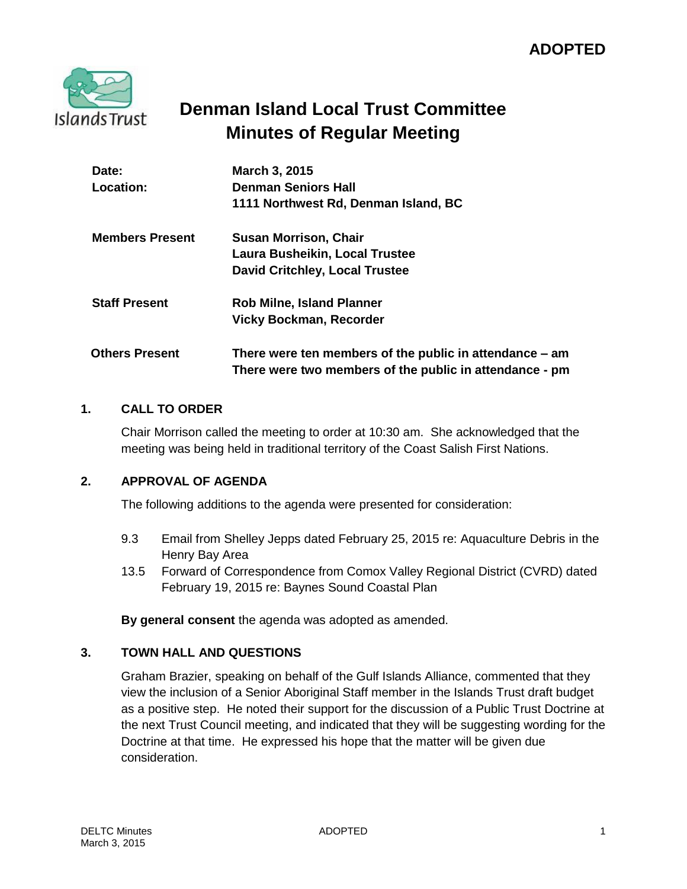

## **Denman Island Local Trust Committee Minutes of Regular Meeting**

| Date:<br>Location:     | March 3, 2015<br><b>Denman Seniors Hall</b><br>1111 Northwest Rd, Denman Island, BC                                |
|------------------------|--------------------------------------------------------------------------------------------------------------------|
| <b>Members Present</b> | <b>Susan Morrison, Chair</b>                                                                                       |
|                        | Laura Busheikin, Local Trustee                                                                                     |
|                        | <b>David Critchley, Local Trustee</b>                                                                              |
| <b>Staff Present</b>   | <b>Rob Milne, Island Planner</b>                                                                                   |
|                        | <b>Vicky Bockman, Recorder</b>                                                                                     |
| <b>Others Present</b>  | There were ten members of the public in attendance – am<br>There were two members of the public in attendance - pm |

## **1. CALL TO ORDER**

Chair Morrison called the meeting to order at 10:30 am. She acknowledged that the meeting was being held in traditional territory of the Coast Salish First Nations.

## **2. APPROVAL OF AGENDA**

The following additions to the agenda were presented for consideration:

- 9.3 Email from Shelley Jepps dated February 25, 2015 re: Aquaculture Debris in the Henry Bay Area
- 13.5 Forward of Correspondence from Comox Valley Regional District (CVRD) dated February 19, 2015 re: Baynes Sound Coastal Plan

**By general consent** the agenda was adopted as amended.

## **3. TOWN HALL AND QUESTIONS**

Graham Brazier, speaking on behalf of the Gulf Islands Alliance, commented that they view the inclusion of a Senior Aboriginal Staff member in the Islands Trust draft budget as a positive step. He noted their support for the discussion of a Public Trust Doctrine at the next Trust Council meeting, and indicated that they will be suggesting wording for the Doctrine at that time. He expressed his hope that the matter will be given due consideration.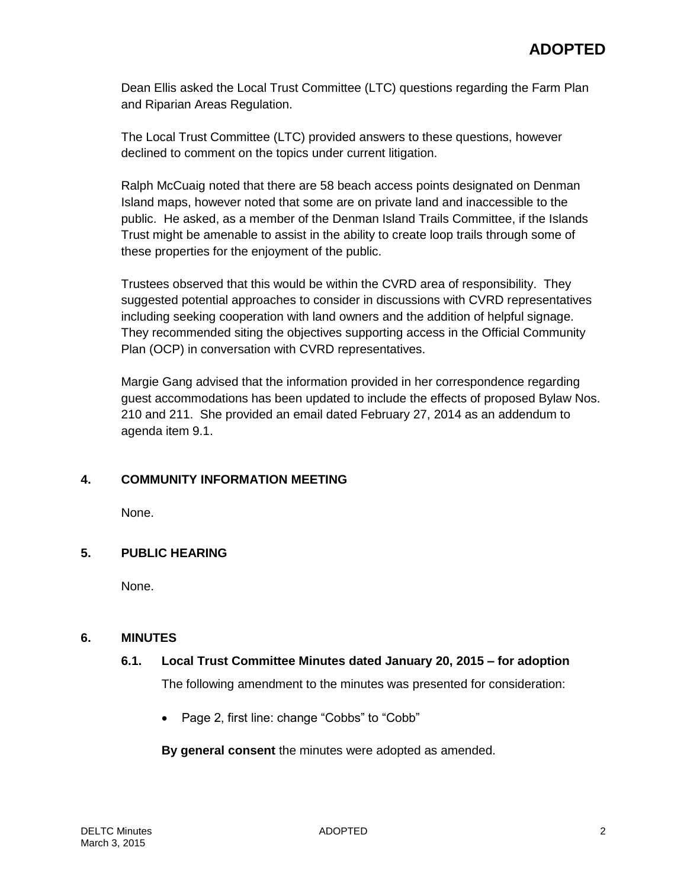Dean Ellis asked the Local Trust Committee (LTC) questions regarding the Farm Plan and Riparian Areas Regulation.

The Local Trust Committee (LTC) provided answers to these questions, however declined to comment on the topics under current litigation.

Ralph McCuaig noted that there are 58 beach access points designated on Denman Island maps, however noted that some are on private land and inaccessible to the public. He asked, as a member of the Denman Island Trails Committee, if the Islands Trust might be amenable to assist in the ability to create loop trails through some of these properties for the enjoyment of the public.

Trustees observed that this would be within the CVRD area of responsibility. They suggested potential approaches to consider in discussions with CVRD representatives including seeking cooperation with land owners and the addition of helpful signage. They recommended siting the objectives supporting access in the Official Community Plan (OCP) in conversation with CVRD representatives.

Margie Gang advised that the information provided in her correspondence regarding guest accommodations has been updated to include the effects of proposed Bylaw Nos. 210 and 211. She provided an email dated February 27, 2014 as an addendum to agenda item 9.1.

## **4. COMMUNITY INFORMATION MEETING**

None.

## **5. PUBLIC HEARING**

None.

#### **6. MINUTES**

## **6.1. Local Trust Committee Minutes dated January 20, 2015 – for adoption**

The following amendment to the minutes was presented for consideration:

• Page 2, first line: change "Cobbs" to "Cobb"

**By general consent** the minutes were adopted as amended.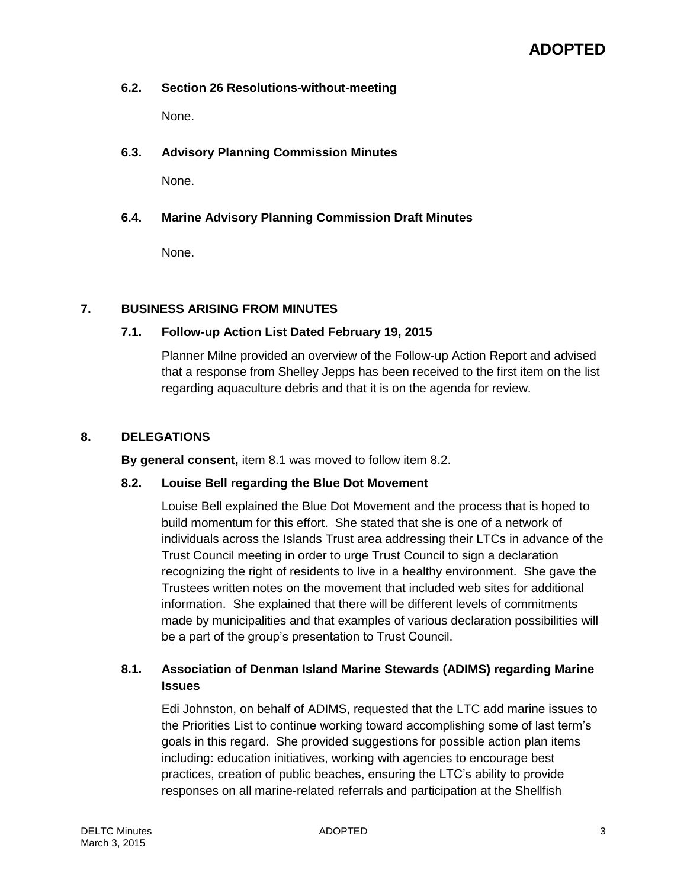#### **6.2. Section 26 Resolutions-without-meeting**

None.

## **6.3. Advisory Planning Commission Minutes**

None.

## **6.4. Marine Advisory Planning Commission Draft Minutes**

None.

#### **7. BUSINESS ARISING FROM MINUTES**

### **7.1. Follow-up Action List Dated February 19, 2015**

Planner Milne provided an overview of the Follow-up Action Report and advised that a response from Shelley Jepps has been received to the first item on the list regarding aquaculture debris and that it is on the agenda for review.

#### **8. DELEGATIONS**

**By general consent,** item 8.1 was moved to follow item 8.2.

#### **8.2. Louise Bell regarding the Blue Dot Movement**

Louise Bell explained the Blue Dot Movement and the process that is hoped to build momentum for this effort. She stated that she is one of a network of individuals across the Islands Trust area addressing their LTCs in advance of the Trust Council meeting in order to urge Trust Council to sign a declaration recognizing the right of residents to live in a healthy environment. She gave the Trustees written notes on the movement that included web sites for additional information. She explained that there will be different levels of commitments made by municipalities and that examples of various declaration possibilities will be a part of the group's presentation to Trust Council.

## **8.1. Association of Denman Island Marine Stewards (ADIMS) regarding Marine Issues**

Edi Johnston, on behalf of ADIMS, requested that the LTC add marine issues to the Priorities List to continue working toward accomplishing some of last term's goals in this regard. She provided suggestions for possible action plan items including: education initiatives, working with agencies to encourage best practices, creation of public beaches, ensuring the LTC's ability to provide responses on all marine-related referrals and participation at the Shellfish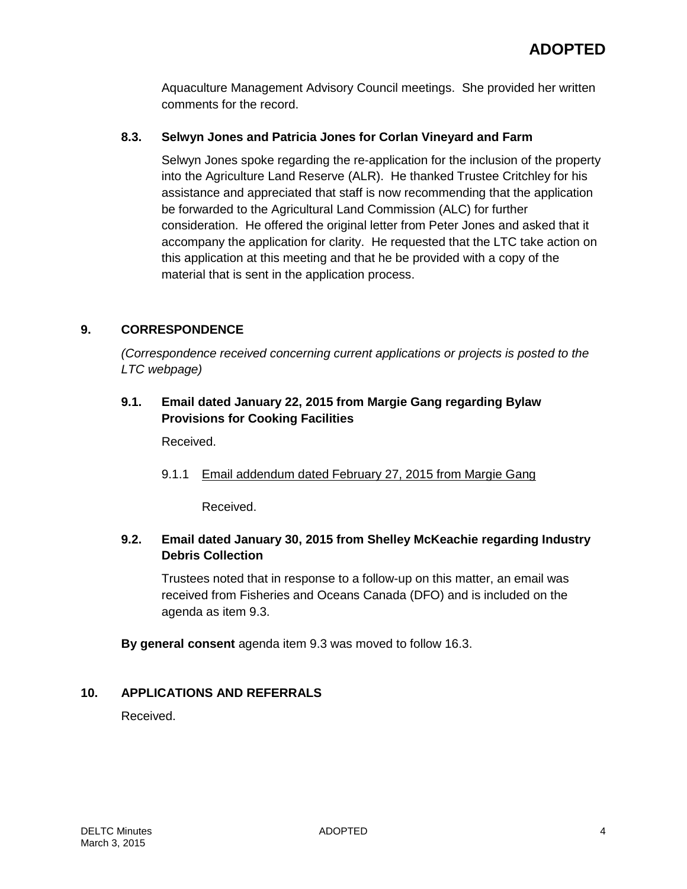Aquaculture Management Advisory Council meetings. She provided her written comments for the record.

## **8.3. Selwyn Jones and Patricia Jones for Corlan Vineyard and Farm**

Selwyn Jones spoke regarding the re-application for the inclusion of the property into the Agriculture Land Reserve (ALR). He thanked Trustee Critchley for his assistance and appreciated that staff is now recommending that the application be forwarded to the Agricultural Land Commission (ALC) for further consideration. He offered the original letter from Peter Jones and asked that it accompany the application for clarity. He requested that the LTC take action on this application at this meeting and that he be provided with a copy of the material that is sent in the application process.

## **9. CORRESPONDENCE**

*(Correspondence received concerning current applications or projects is posted to the LTC webpage)*

## **9.1. Email dated January 22, 2015 from Margie Gang regarding Bylaw Provisions for Cooking Facilities**

Received.

9.1.1 Email addendum dated February 27, 2015 from Margie Gang

Received.

## **9.2. Email dated January 30, 2015 from Shelley McKeachie regarding Industry Debris Collection**

Trustees noted that in response to a follow-up on this matter, an email was received from Fisheries and Oceans Canada (DFO) and is included on the agenda as item 9.3.

**By general consent** agenda item 9.3 was moved to follow 16.3.

## **10. APPLICATIONS AND REFERRALS**

Received.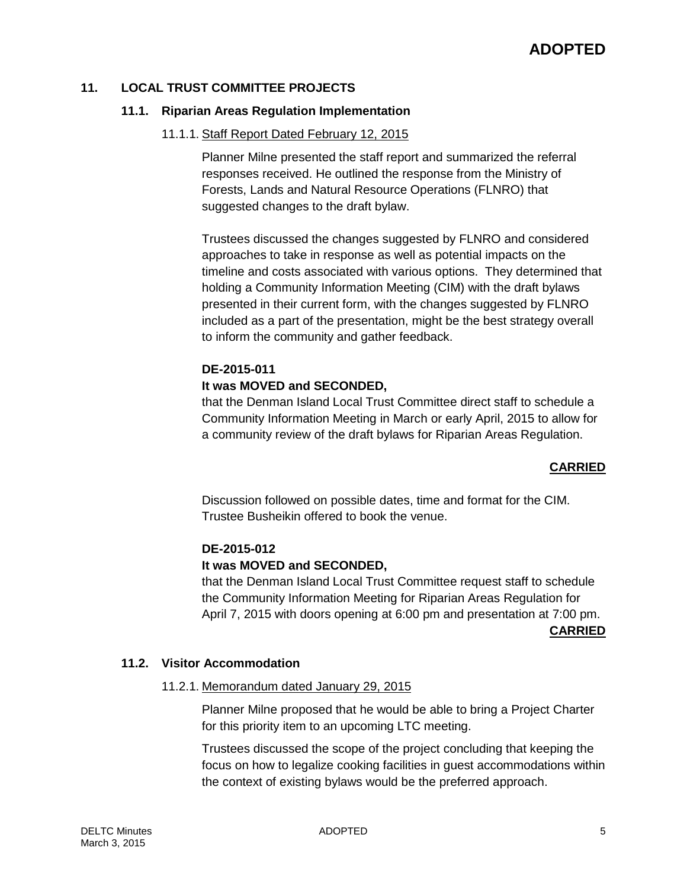#### **11. LOCAL TRUST COMMITTEE PROJECTS**

#### **11.1. Riparian Areas Regulation Implementation**

#### 11.1.1. Staff Report Dated February 12, 2015

Planner Milne presented the staff report and summarized the referral responses received. He outlined the response from the Ministry of Forests, Lands and Natural Resource Operations (FLNRO) that suggested changes to the draft bylaw.

Trustees discussed the changes suggested by FLNRO and considered approaches to take in response as well as potential impacts on the timeline and costs associated with various options. They determined that holding a Community Information Meeting (CIM) with the draft bylaws presented in their current form, with the changes suggested by FLNRO included as a part of the presentation, might be the best strategy overall to inform the community and gather feedback.

### **DE-2015-011**

#### **It was MOVED and SECONDED,**

that the Denman Island Local Trust Committee direct staff to schedule a Community Information Meeting in March or early April, 2015 to allow for a community review of the draft bylaws for Riparian Areas Regulation.

#### **CARRIED**

Discussion followed on possible dates, time and format for the CIM. Trustee Busheikin offered to book the venue.

#### **DE-2015-012**

#### **It was MOVED and SECONDED,**

that the Denman Island Local Trust Committee request staff to schedule the Community Information Meeting for Riparian Areas Regulation for April 7, 2015 with doors opening at 6:00 pm and presentation at 7:00 pm.

#### **CARRIED**

#### **11.2. Visitor Accommodation**

#### 11.2.1. Memorandum dated January 29, 2015

Planner Milne proposed that he would be able to bring a Project Charter for this priority item to an upcoming LTC meeting.

Trustees discussed the scope of the project concluding that keeping the focus on how to legalize cooking facilities in guest accommodations within the context of existing bylaws would be the preferred approach.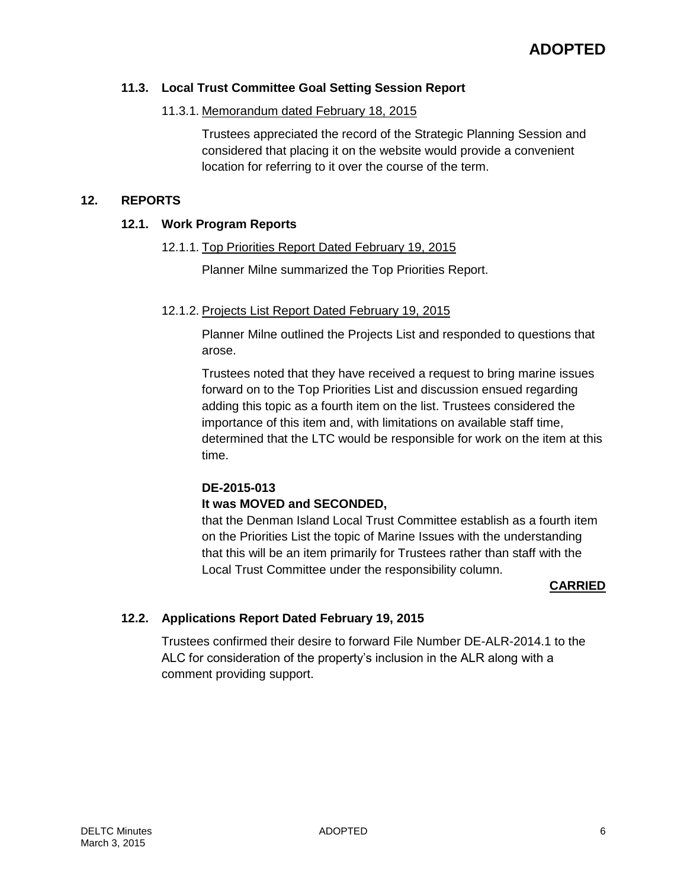### **11.3. Local Trust Committee Goal Setting Session Report**

## 11.3.1. Memorandum dated February 18, 2015

Trustees appreciated the record of the Strategic Planning Session and considered that placing it on the website would provide a convenient location for referring to it over the course of the term.

#### **12. REPORTS**

#### **12.1. Work Program Reports**

#### 12.1.1. Top Priorities Report Dated February 19, 2015

Planner Milne summarized the Top Priorities Report.

#### 12.1.2. Projects List Report Dated February 19, 2015

Planner Milne outlined the Projects List and responded to questions that arose.

Trustees noted that they have received a request to bring marine issues forward on to the Top Priorities List and discussion ensued regarding adding this topic as a fourth item on the list. Trustees considered the importance of this item and, with limitations on available staff time, determined that the LTC would be responsible for work on the item at this time.

## **DE-2015-013**

## **It was MOVED and SECONDED,**

that the Denman Island Local Trust Committee establish as a fourth item on the Priorities List the topic of Marine Issues with the understanding that this will be an item primarily for Trustees rather than staff with the Local Trust Committee under the responsibility column.

#### **CARRIED**

## **12.2. Applications Report Dated February 19, 2015**

Trustees confirmed their desire to forward File Number DE-ALR-2014.1 to the ALC for consideration of the property's inclusion in the ALR along with a comment providing support.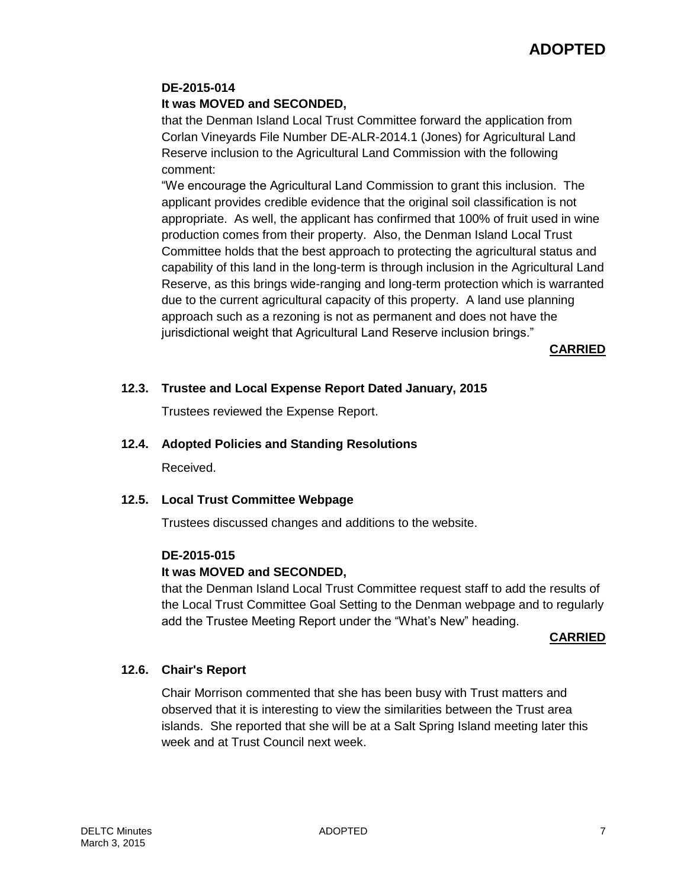## **ADOPTED**

#### **DE-2015-014**

#### **It was MOVED and SECONDED,**

that the Denman Island Local Trust Committee forward the application from Corlan Vineyards File Number DE-ALR-2014.1 (Jones) for Agricultural Land Reserve inclusion to the Agricultural Land Commission with the following comment:

"We encourage the Agricultural Land Commission to grant this inclusion. The applicant provides credible evidence that the original soil classification is not appropriate. As well, the applicant has confirmed that 100% of fruit used in wine production comes from their property. Also, the Denman Island Local Trust Committee holds that the best approach to protecting the agricultural status and capability of this land in the long-term is through inclusion in the Agricultural Land Reserve, as this brings wide-ranging and long-term protection which is warranted due to the current agricultural capacity of this property. A land use planning approach such as a rezoning is not as permanent and does not have the jurisdictional weight that Agricultural Land Reserve inclusion brings."

**CARRIED**

#### **12.3. Trustee and Local Expense Report Dated January, 2015**

Trustees reviewed the Expense Report.

### **12.4. Adopted Policies and Standing Resolutions**

Received.

#### **12.5. Local Trust Committee Webpage**

Trustees discussed changes and additions to the website.

#### **DE-2015-015**

#### **It was MOVED and SECONDED,**

that the Denman Island Local Trust Committee request staff to add the results of the Local Trust Committee Goal Setting to the Denman webpage and to regularly add the Trustee Meeting Report under the "What's New" heading.

#### **CARRIED**

#### **12.6. Chair's Report**

Chair Morrison commented that she has been busy with Trust matters and observed that it is interesting to view the similarities between the Trust area islands. She reported that she will be at a Salt Spring Island meeting later this week and at Trust Council next week.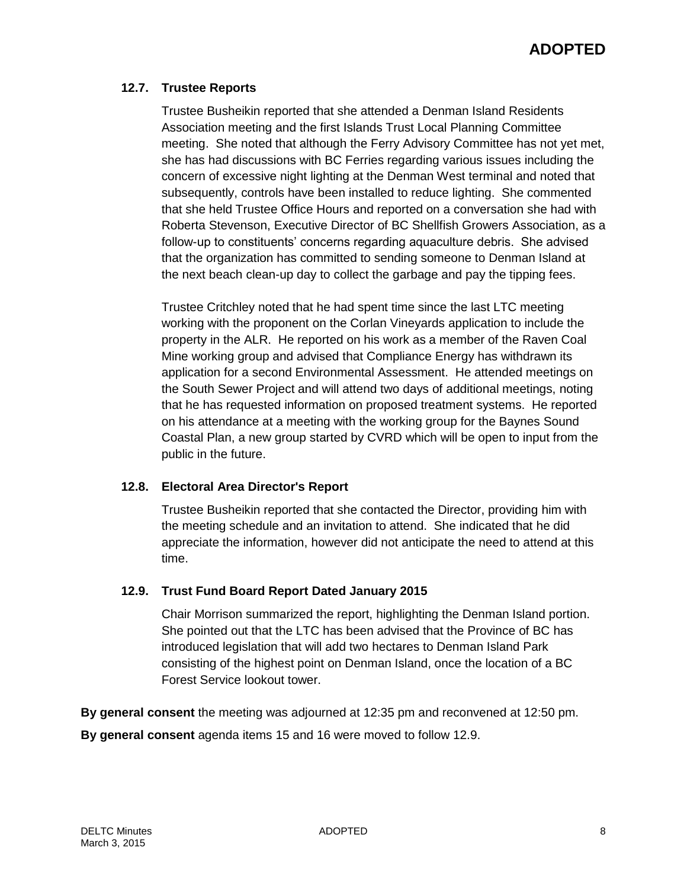## **12.7. Trustee Reports**

Trustee Busheikin reported that she attended a Denman Island Residents Association meeting and the first Islands Trust Local Planning Committee meeting. She noted that although the Ferry Advisory Committee has not yet met, she has had discussions with BC Ferries regarding various issues including the concern of excessive night lighting at the Denman West terminal and noted that subsequently, controls have been installed to reduce lighting. She commented that she held Trustee Office Hours and reported on a conversation she had with Roberta Stevenson, Executive Director of BC Shellfish Growers Association, as a follow-up to constituents' concerns regarding aquaculture debris. She advised that the organization has committed to sending someone to Denman Island at the next beach clean-up day to collect the garbage and pay the tipping fees.

Trustee Critchley noted that he had spent time since the last LTC meeting working with the proponent on the Corlan Vineyards application to include the property in the ALR. He reported on his work as a member of the Raven Coal Mine working group and advised that Compliance Energy has withdrawn its application for a second Environmental Assessment. He attended meetings on the South Sewer Project and will attend two days of additional meetings, noting that he has requested information on proposed treatment systems. He reported on his attendance at a meeting with the working group for the Baynes Sound Coastal Plan, a new group started by CVRD which will be open to input from the public in the future.

## **12.8. Electoral Area Director's Report**

Trustee Busheikin reported that she contacted the Director, providing him with the meeting schedule and an invitation to attend. She indicated that he did appreciate the information, however did not anticipate the need to attend at this time.

## **12.9. Trust Fund Board Report Dated January 2015**

Chair Morrison summarized the report, highlighting the Denman Island portion. She pointed out that the LTC has been advised that the Province of BC has introduced legislation that will add two hectares to Denman Island Park consisting of the highest point on Denman Island, once the location of a BC Forest Service lookout tower.

**By general consent** the meeting was adjourned at 12:35 pm and reconvened at 12:50 pm.

**By general consent** agenda items 15 and 16 were moved to follow 12.9.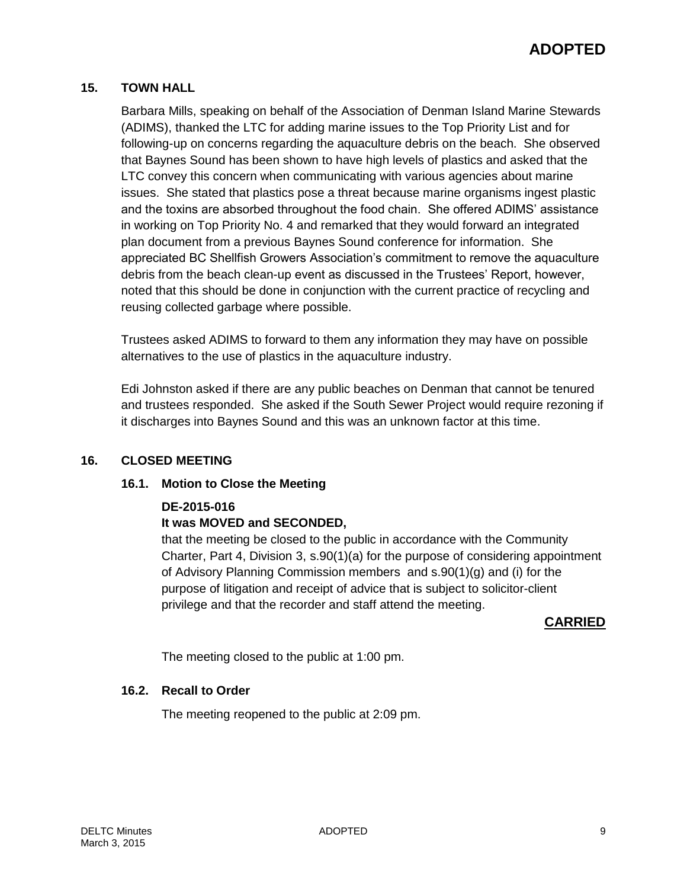## **15. TOWN HALL**

Barbara Mills, speaking on behalf of the Association of Denman Island Marine Stewards (ADIMS), thanked the LTC for adding marine issues to the Top Priority List and for following-up on concerns regarding the aquaculture debris on the beach. She observed that Baynes Sound has been shown to have high levels of plastics and asked that the LTC convey this concern when communicating with various agencies about marine issues. She stated that plastics pose a threat because marine organisms ingest plastic and the toxins are absorbed throughout the food chain. She offered ADIMS' assistance in working on Top Priority No. 4 and remarked that they would forward an integrated plan document from a previous Baynes Sound conference for information. She appreciated BC Shellfish Growers Association's commitment to remove the aquaculture debris from the beach clean-up event as discussed in the Trustees' Report, however, noted that this should be done in conjunction with the current practice of recycling and reusing collected garbage where possible.

Trustees asked ADIMS to forward to them any information they may have on possible alternatives to the use of plastics in the aquaculture industry.

Edi Johnston asked if there are any public beaches on Denman that cannot be tenured and trustees responded. She asked if the South Sewer Project would require rezoning if it discharges into Baynes Sound and this was an unknown factor at this time.

## **16. CLOSED MEETING**

## **16.1. Motion to Close the Meeting**

## **DE-2015-016**

## **It was MOVED and SECONDED,**

that the meeting be closed to the public in accordance with the Community Charter, Part 4, Division 3, s.90(1)(a) for the purpose of considering appointment of Advisory Planning Commission members and s.90(1)(g) and (i) for the purpose of litigation and receipt of advice that is subject to solicitor-client privilege and that the recorder and staff attend the meeting.

**CARRIED**

The meeting closed to the public at 1:00 pm.

## **16.2. Recall to Order**

The meeting reopened to the public at 2:09 pm.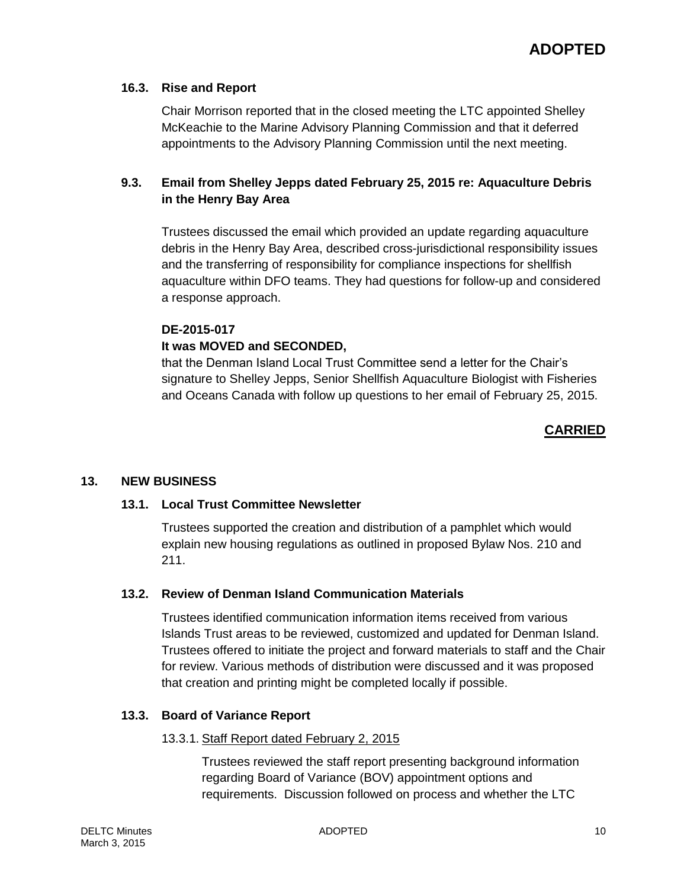### **16.3. Rise and Report**

Chair Morrison reported that in the closed meeting the LTC appointed Shelley McKeachie to the Marine Advisory Planning Commission and that it deferred appointments to the Advisory Planning Commission until the next meeting.

## **9.3. Email from Shelley Jepps dated February 25, 2015 re: Aquaculture Debris in the Henry Bay Area**

Trustees discussed the email which provided an update regarding aquaculture debris in the Henry Bay Area, described cross-jurisdictional responsibility issues and the transferring of responsibility for compliance inspections for shellfish aquaculture within DFO teams. They had questions for follow-up and considered a response approach.

# **DE-2015-017**

## **It was MOVED and SECONDED,**

that the Denman Island Local Trust Committee send a letter for the Chair's signature to Shelley Jepps, Senior Shellfish Aquaculture Biologist with Fisheries and Oceans Canada with follow up questions to her email of February 25, 2015.

## **CARRIED**

#### **13. NEW BUSINESS**

#### **13.1. Local Trust Committee Newsletter**

Trustees supported the creation and distribution of a pamphlet which would explain new housing regulations as outlined in proposed Bylaw Nos. 210 and 211.

#### **13.2. Review of Denman Island Communication Materials**

Trustees identified communication information items received from various Islands Trust areas to be reviewed, customized and updated for Denman Island. Trustees offered to initiate the project and forward materials to staff and the Chair for review. Various methods of distribution were discussed and it was proposed that creation and printing might be completed locally if possible.

## **13.3. Board of Variance Report**

#### 13.3.1. Staff Report dated February 2, 2015

Trustees reviewed the staff report presenting background information regarding Board of Variance (BOV) appointment options and requirements. Discussion followed on process and whether the LTC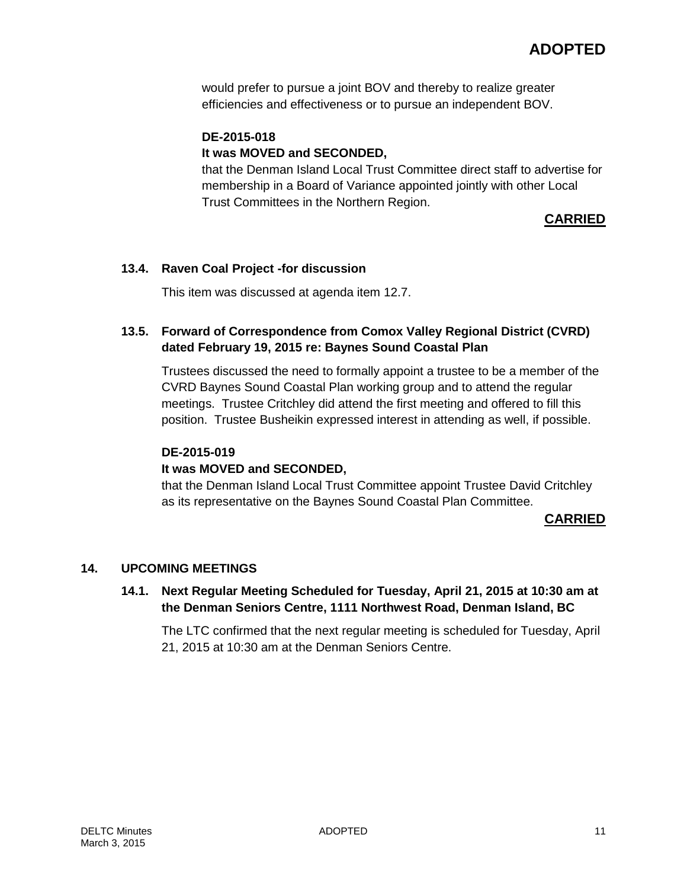would prefer to pursue a joint BOV and thereby to realize greater efficiencies and effectiveness or to pursue an independent BOV.

## **DE-2015-018 It was MOVED and SECONDED,**

that the Denman Island Local Trust Committee direct staff to advertise for membership in a Board of Variance appointed jointly with other Local Trust Committees in the Northern Region.

## **CARRIED**

## **13.4. Raven Coal Project -for discussion**

This item was discussed at agenda item 12.7.

## **13.5. Forward of Correspondence from Comox Valley Regional District (CVRD) dated February 19, 2015 re: Baynes Sound Coastal Plan**

Trustees discussed the need to formally appoint a trustee to be a member of the CVRD Baynes Sound Coastal Plan working group and to attend the regular meetings. Trustee Critchley did attend the first meeting and offered to fill this position. Trustee Busheikin expressed interest in attending as well, if possible.

## **DE-2015-019**

## **It was MOVED and SECONDED,**

that the Denman Island Local Trust Committee appoint Trustee David Critchley as its representative on the Baynes Sound Coastal Plan Committee.

## **CARRIED**

## **14. UPCOMING MEETINGS**

## **14.1. Next Regular Meeting Scheduled for Tuesday, April 21, 2015 at 10:30 am at the Denman Seniors Centre, 1111 Northwest Road, Denman Island, BC**

The LTC confirmed that the next regular meeting is scheduled for Tuesday, April 21, 2015 at 10:30 am at the Denman Seniors Centre.